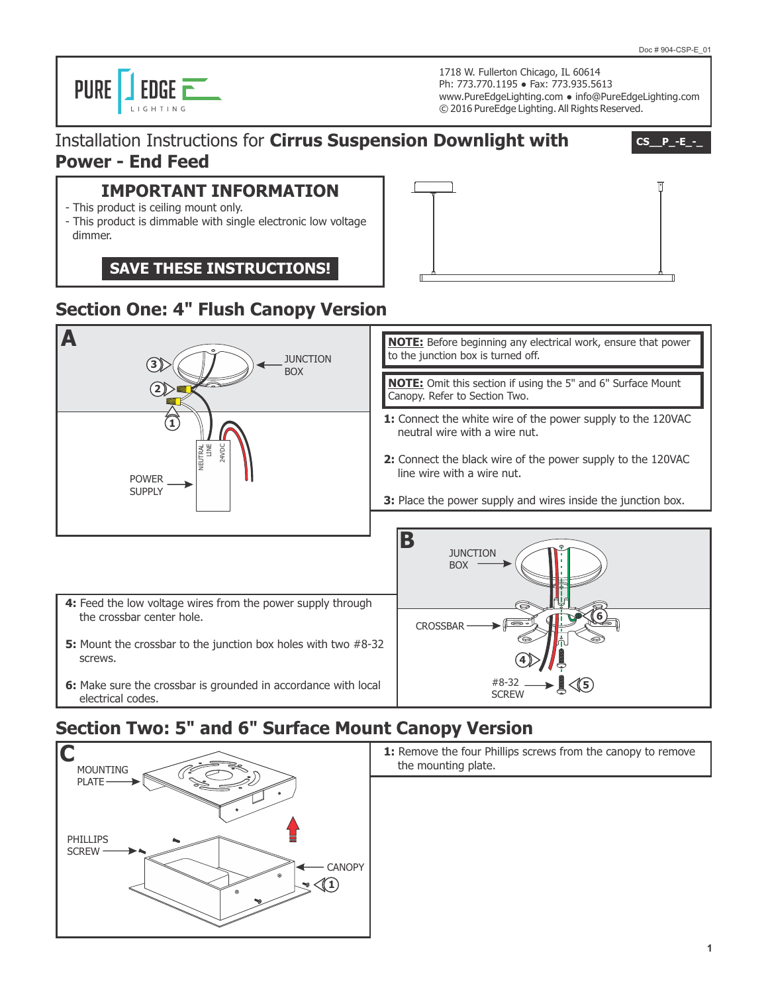PURE **J** EDGE  $\overline{\phantom{a}}$ 

1718 W. Fullerton Chicago, IL 60614 Ph: 773.770.1195 ● Fax: 773.935.5613 www.PureEdgeLighting.com ● info@PureEdgeLighting.com © 2016 PureEdge Lighting. All Rights Reserved.

#### Installation Instructions for **Cirrus Suspension Downlight with Power - End Feed**

**CS\_\_P\_-E\_-\_**

#### **IMPORTANT INFORMATION**

- This product is ceiling mount only.
- This product is dimmable with single electronic low voltage dimmer.

**SAVE THESE INSTRUCTIONS!**

# **Section One: 4" Flush Canopy Version**



electrical codes.

# **Section Two: 5" and 6" Surface Mount Canopy Version**



1: Remove the four Phillips screws from the canopy to remove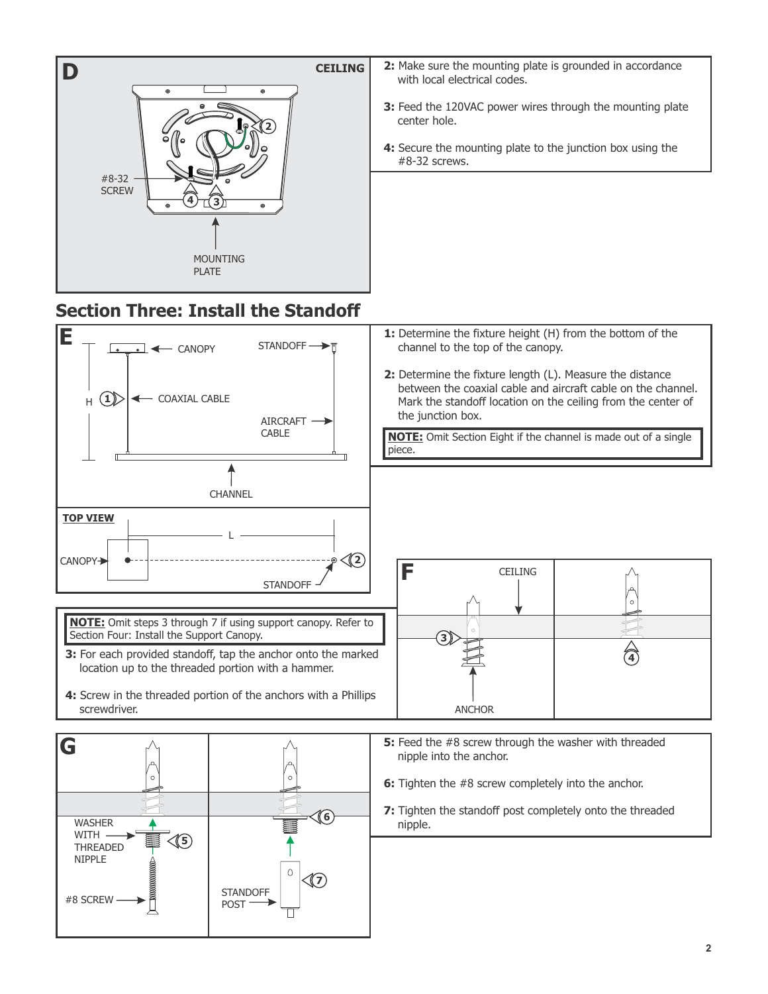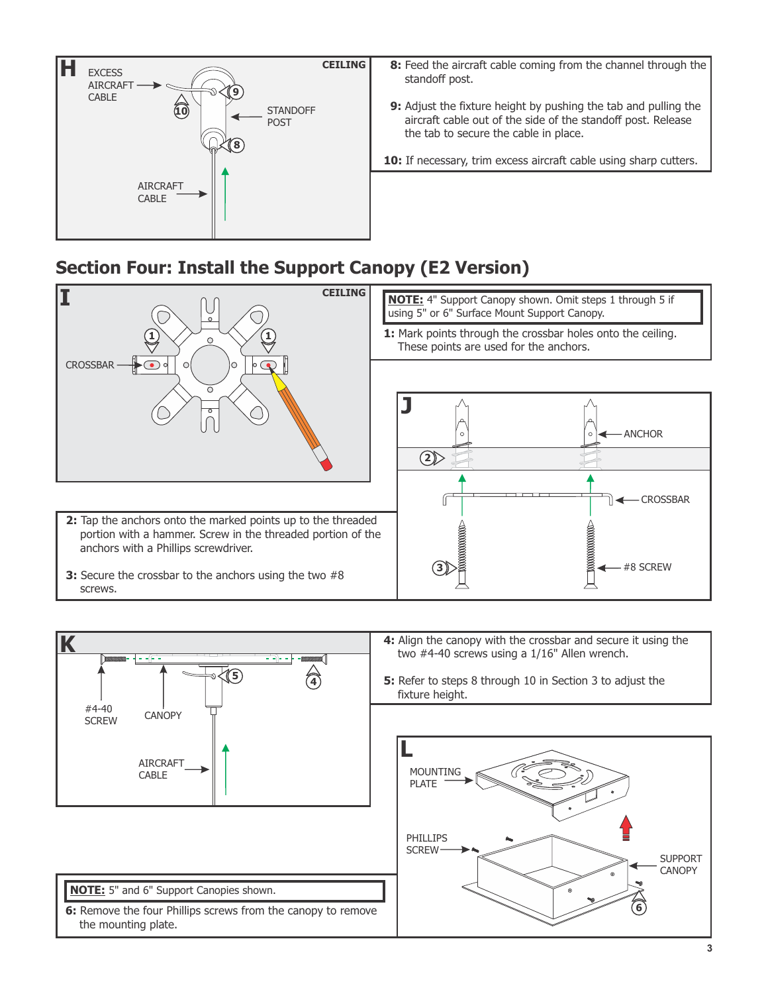

- **8:** Feed the aircraft cable coming from the channel through the standoff post.
- **9:** Adjust the fixture height by pushing the tab and pulling the aircraft cable out of the side of the standoff post. Release the tab to secure the cable in place.
- 10: If necessary, trim excess aircraft cable using sharp cutters.

# **Section Four: Install the Support Canopy (E2 Version)**



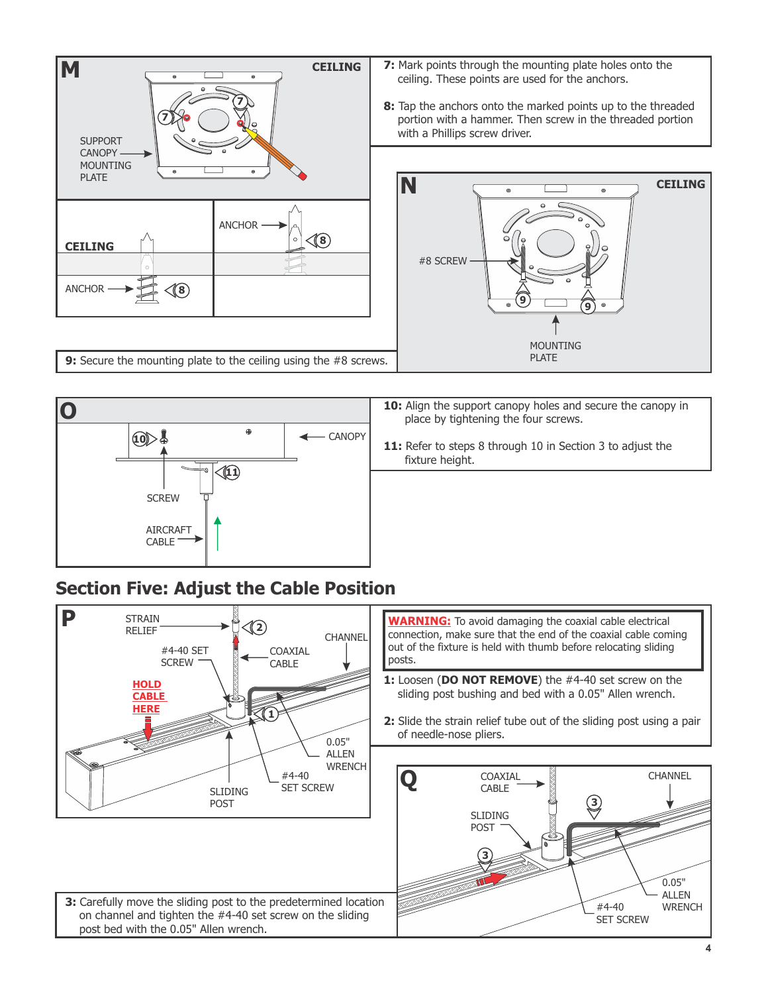



## **Section Five: Adjust the Cable Position**

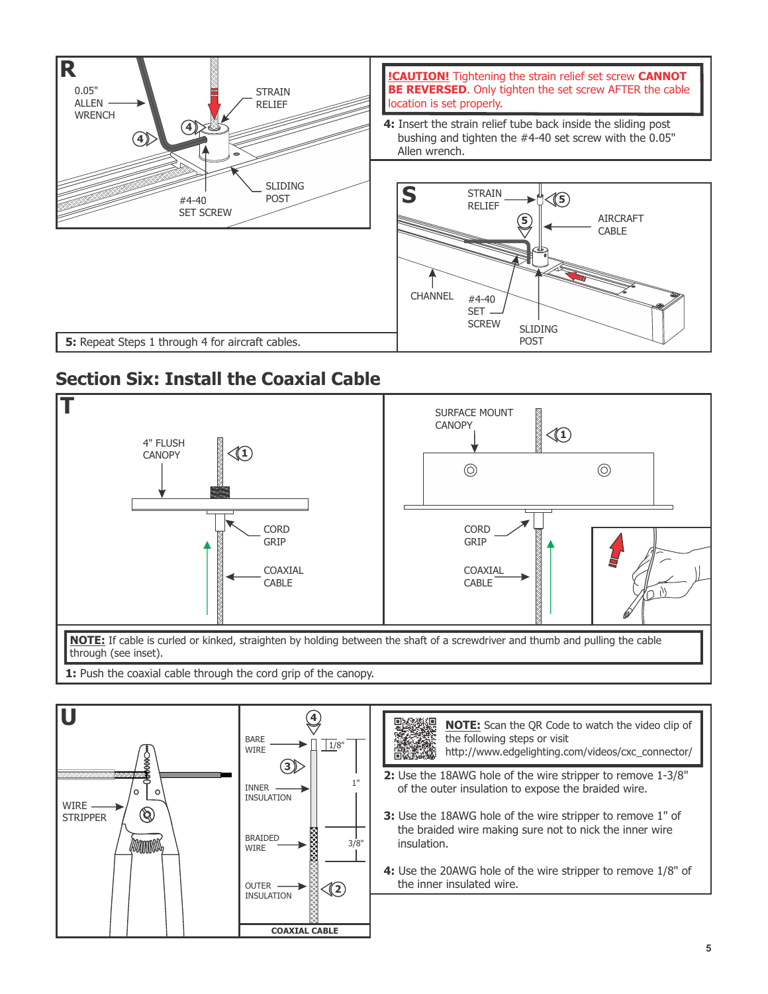

## **Section Six: Install the Coaxial Cable**





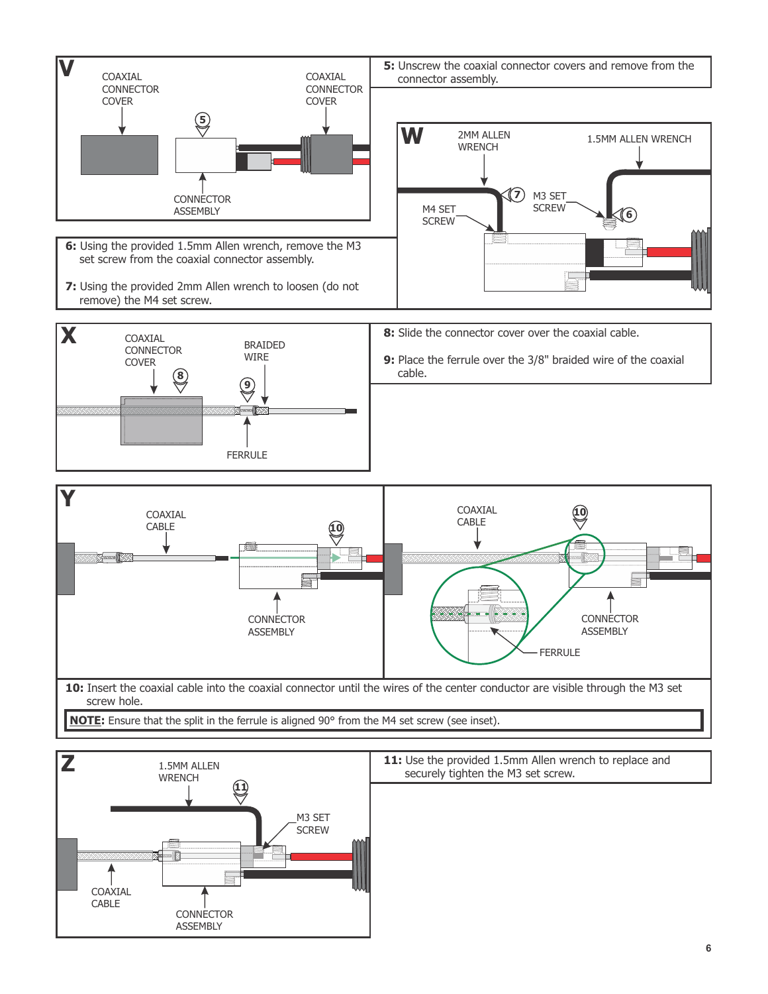



11: Use the provided 1.5mm Allen wrench to replace and securely tighten the M3 set screw.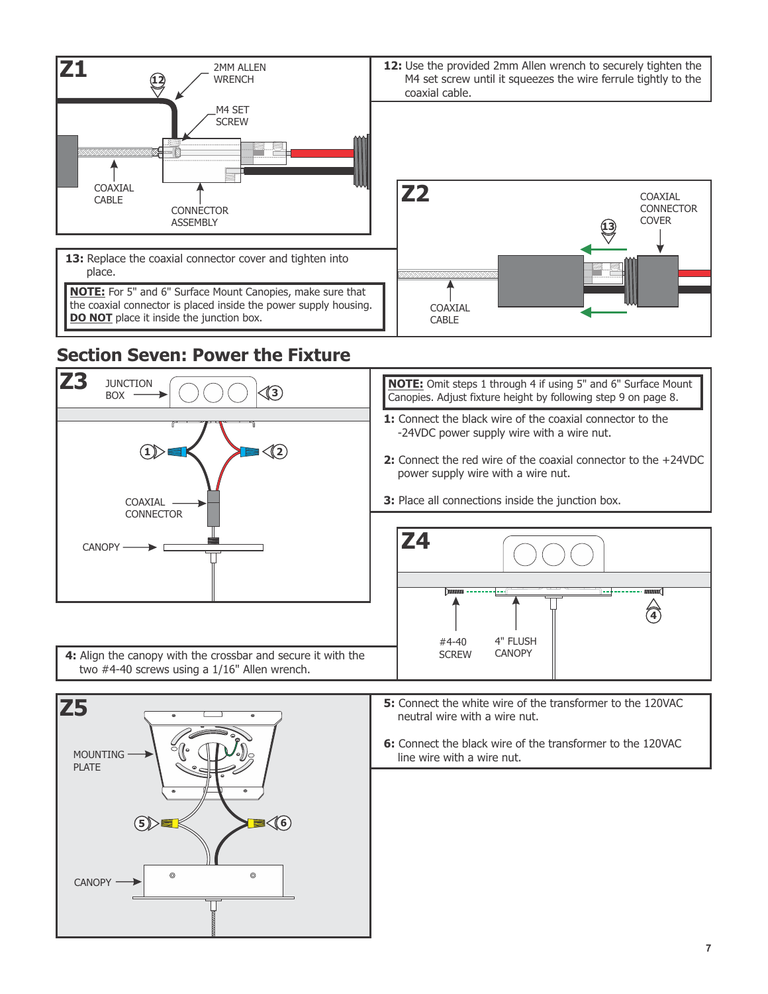



**6:** Connect the black wire of the transformer to the 120VAC line wire with a wire nut.

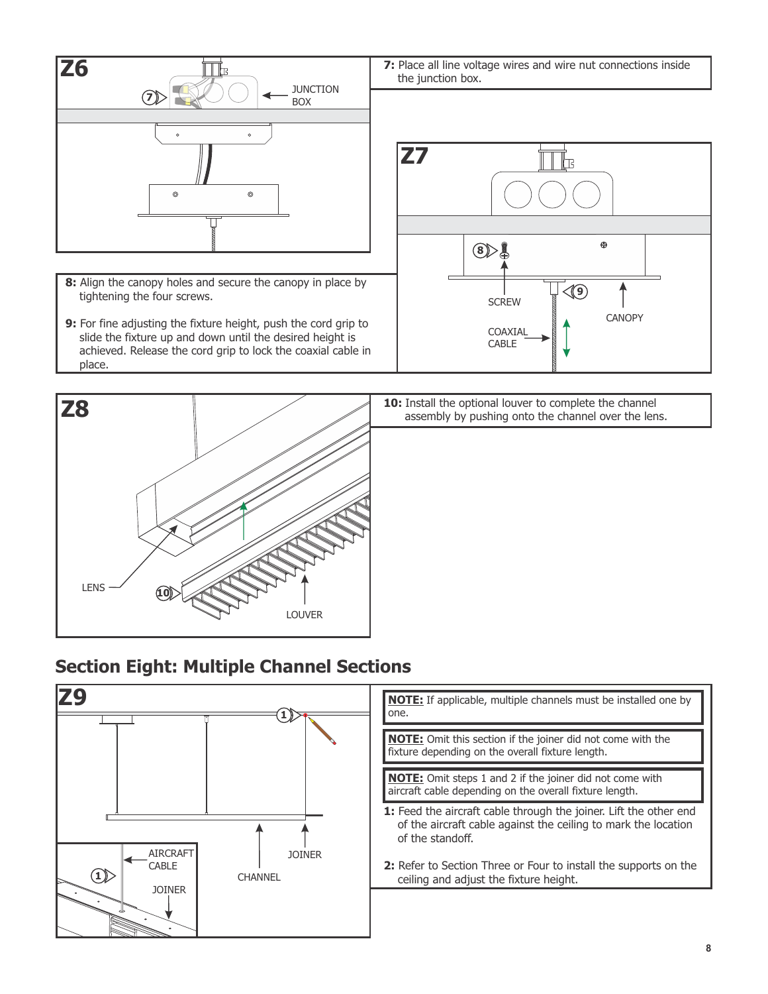



10: Install the optional louver to complete the channel assembly by pushing onto the channel over the lens.

### **Section Eight: Multiple Channel Sections**

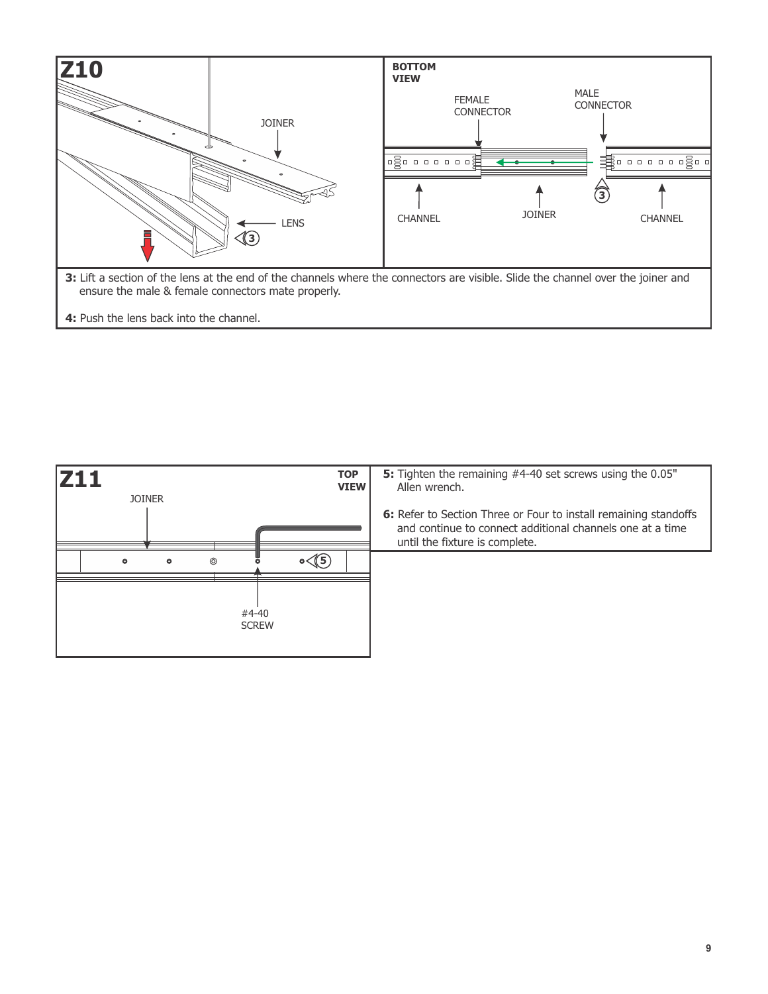